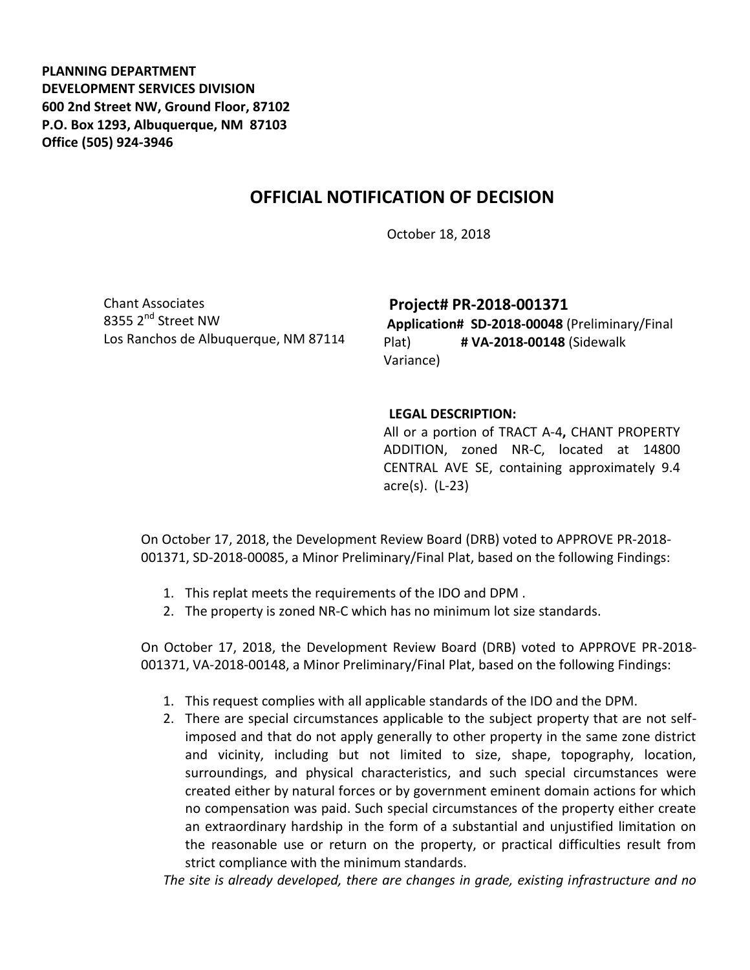**PLANNING DEPARTMENT DEVELOPMENT SERVICES DIVISION 600 2nd Street NW, Ground Floor, 87102 P.O. Box 1293, Albuquerque, NM 87103 Office (505) 924-3946** 

## **OFFICIAL NOTIFICATION OF DECISION**

October 18, 2018

Chant Associates 8355 2<sup>nd</sup> Street NW Los Ranchos de Albuquerque, NM 87114 **Project# PR-2018-001371**

**Application# SD-2018-00048** (Preliminary/Final Plat) **# VA-2018-00148** (Sidewalk Variance)

## **LEGAL DESCRIPTION:**

All or a portion of TRACT A-4**,** CHANT PROPERTY ADDITION, zoned NR-C, located at 14800 CENTRAL AVE SE, containing approximately 9.4 acre(s). (L-23)

On October 17, 2018, the Development Review Board (DRB) voted to APPROVE PR-2018- 001371, SD-2018-00085, a Minor Preliminary/Final Plat, based on the following Findings:

- 1. This replat meets the requirements of the IDO and DPM .
- 2. The property is zoned NR-C which has no minimum lot size standards.

On October 17, 2018, the Development Review Board (DRB) voted to APPROVE PR-2018- 001371, VA-2018-00148, a Minor Preliminary/Final Plat, based on the following Findings:

- 1. This request complies with all applicable standards of the IDO and the DPM.
- 2. There are special circumstances applicable to the subject property that are not selfimposed and that do not apply generally to other property in the same zone district and vicinity, including but not limited to size, shape, topography, location, surroundings, and physical characteristics, and such special circumstances were created either by natural forces or by government eminent domain actions for which no compensation was paid. Such special circumstances of the property either create an extraordinary hardship in the form of a substantial and unjustified limitation on the reasonable use or return on the property, or practical difficulties result from strict compliance with the minimum standards.

*The site is already developed, there are changes in grade, existing infrastructure and no*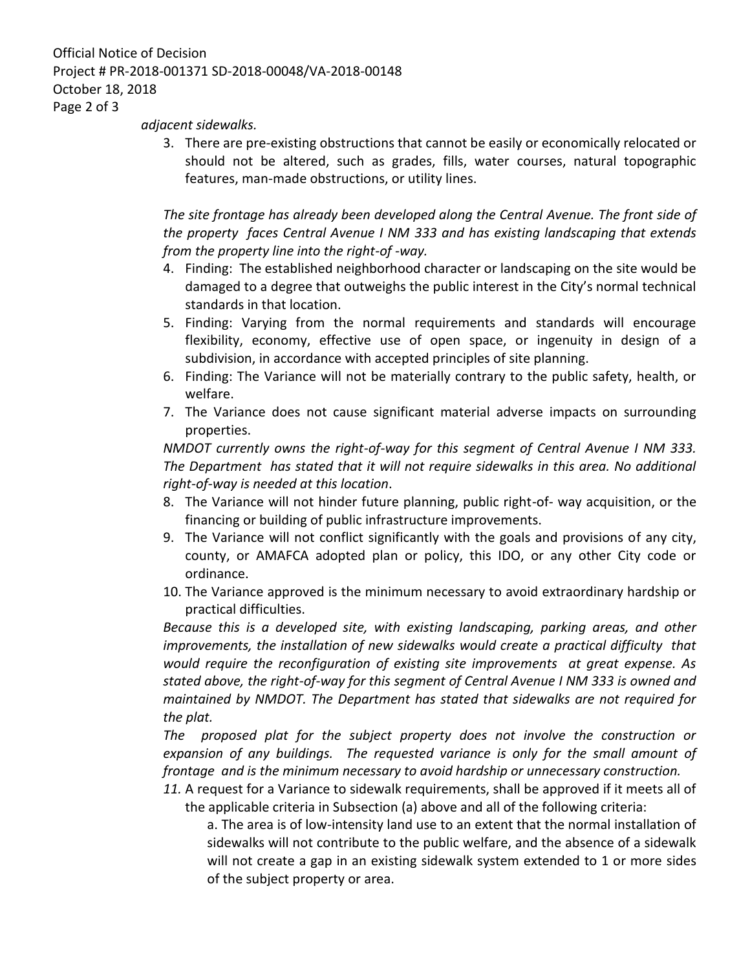## Official Notice of Decision Project # PR-2018-001371 SD-2018-00048/VA-2018-00148 October 18, 2018 Page 2 of 3

*adjacent sidewalks.* 

3. There are pre-existing obstructions that cannot be easily or economically relocated or should not be altered, such as grades, fills, water courses, natural topographic features, man-made obstructions, or utility lines.

*The site frontage has already been developed along the Central Avenue. The front side of the property faces Central Avenue I NM 333 and has existing landscaping that extends from the property line into the right-of -way.*

- 4. Finding: The established neighborhood character or landscaping on the site would be damaged to a degree that outweighs the public interest in the City's normal technical standards in that location.
- 5. Finding: Varying from the normal requirements and standards will encourage flexibility, economy, effective use of open space, or ingenuity in design of a subdivision, in accordance with accepted principles of site planning.
- 6. Finding: The Variance will not be materially contrary to the public safety, health, or welfare.
- 7. The Variance does not cause significant material adverse impacts on surrounding properties.

*NMDOT currently owns the right-of-way for this segment of Central Avenue I NM 333. The Department has stated that it will not require sidewalks in this area. No additional right-of-way is needed at this location*.

- 8. The Variance will not hinder future planning, public right-of- way acquisition, or the financing or building of public infrastructure improvements.
- 9. The Variance will not conflict significantly with the goals and provisions of any city, county, or AMAFCA adopted plan or policy, this IDO, or any other City code or ordinance.
- 10. The Variance approved is the minimum necessary to avoid extraordinary hardship or practical difficulties.

*Because this is a developed site, with existing landscaping, parking areas, and other improvements, the installation of new sidewalks would create a practical difficulty that would require the reconfiguration of existing site improvements at great expense. As stated above, the right-of-way for this segment of Central Avenue I NM 333 is owned and maintained by NMDOT. The Department has stated that sidewalks are not required for the plat.*

*The proposed plat for the subject property does not involve the construction or expansion of any buildings. The requested variance is only for the small amount of frontage and is the minimum necessary to avoid hardship or unnecessary construction.*

*11.* A request for a Variance to sidewalk requirements, shall be approved if it meets all of the applicable criteria in Subsection (a) above and all of the following criteria:

a. The area is of low-intensity land use to an extent that the normal installation of sidewalks will not contribute to the public welfare, and the absence of a sidewalk will not create a gap in an existing sidewalk system extended to 1 or more sides of the subject property or area.